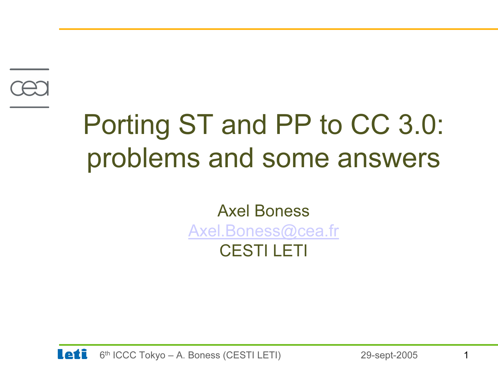

# Porting ST and PP to CC 3.0: problems and some answers

#### Axel BonessAxel.Boness@cea.fr CESTI LETI

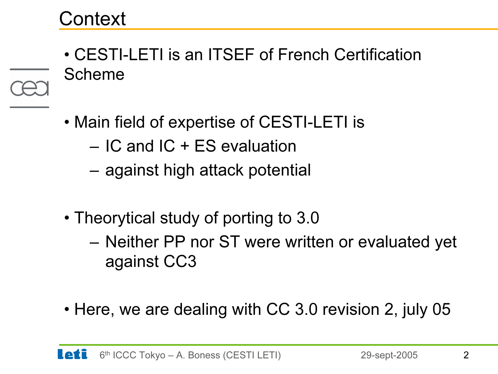• CESTI-LETI is an ITSEF of French Certification Scheme

- Main field of expertise of CESTI-LETI is
	- IC and IC + ES evaluation
	- –against high attack potential
- Theorytical study of porting to 3.0
	- – Neither PP nor ST were written or evaluated yet against CC3
- Here, we are dealing with CC 3.0 revision 2, july 05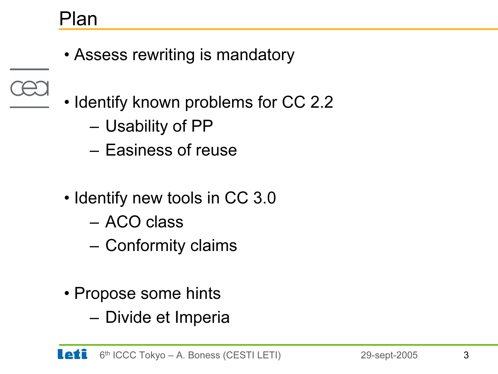#### Plan

- Assess rewriting is mandatory
- Identify known problems for CC 2.2
	- –Usability of PP
	- Easiness of reuse
	- Identify new tools in CC 3.0
		- ACO class
		- –Conformity claims
	- Propose some hints
		- –Divide et Imperia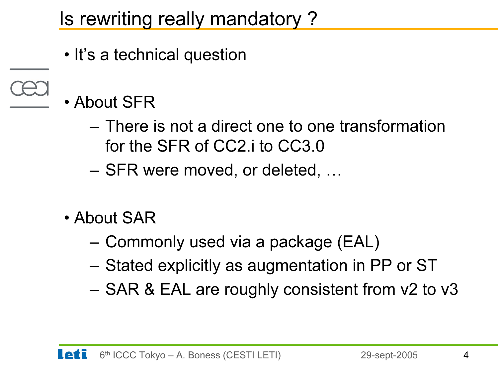Is rewriting really mandatory ?

- It's a technical question
- About SFR
	- There is not a direct one to one transformation for the SFR of CC2.i to CC3.0
	- –SFR were moved, or deleted, …
	- About SAR
		- –Commonly used via a package (EAL)
		- –Stated explicitly as augmentation in PP or ST
		- –SAR & EAL are roughly consistent from v2 to v3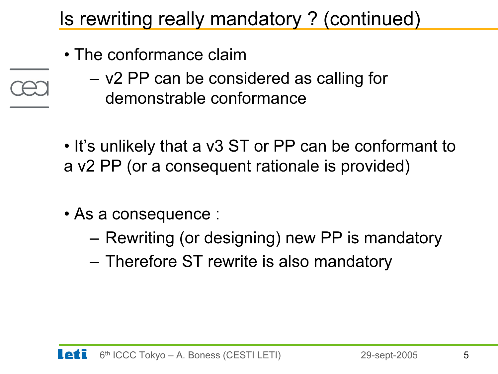# Is rewriting really mandatory ? (continued)

- The conformance claim
- 
- – v2 PP can be considered as calling for demonstrable conformance
- It's unlikely that a v3 ST or PP can be conformant to a v2 PP (or a consequent rationale is provided)
- As a consequence :
	- –Rewriting (or designing) new PP is mandatory
	- –Therefore ST rewrite is also mandatory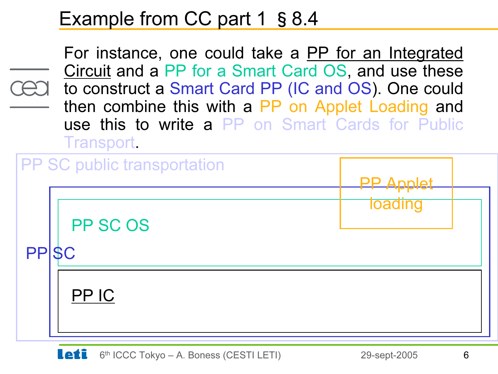#### Example from CC part 1 § 8.4

For instance, one could take a PP for an Integrated Circuit and a PP for a Smart Card OS, and use these to construct a Smart Card PP (IC and OS). One could then combine this with a PP on Applet Loading and use this to write a PP on Smart Cards for Public Transport.

|                   | <b>PP SC public transportation</b> | Annlet         |  |
|-------------------|------------------------------------|----------------|--|
| PPS <sub>SC</sub> | PP SC OS                           | <b>Toading</b> |  |
|                   | PP IC                              |                |  |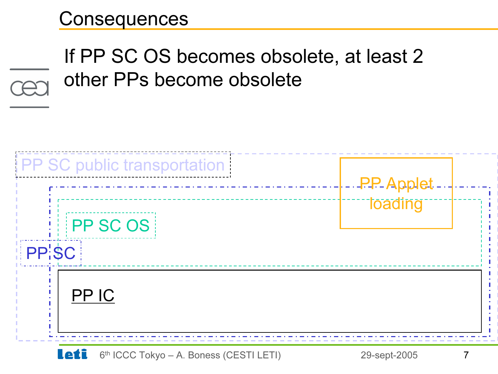#### **Consequences**

# If PP SC OS becomes obsolete, at least 2 other PPs become obsolete

| <b>PP SC public transportation</b> | <b>PP-Applet</b> |  |
|------------------------------------|------------------|--|
| <b>PPSCOS</b><br>PP'SC             | <b>Toading</b>   |  |
| PP IC                              |                  |  |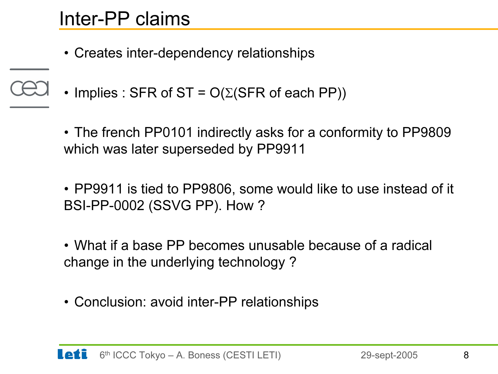- Creates inter-dependency relationships
- •Implies : SFR of ST =  $O(\Sigma(SFR \text{ of each PP}))$

• The french PP0101 indirectly asks for a conformity to PP9809 which was later superseded by PP9911

• PP9911 is tied to PP9806, some would like to use instead of it BSI-PP-0002 (SSVG PP). How ?

• What if a base PP becomes unusable because of a radical change in the underlying technology ?

• Conclusion: avoid inter-PP relationships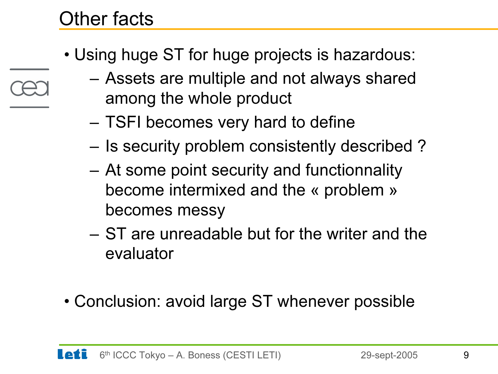#### Other facts

- Using huge ST for huge projects is hazardous:
	- – Assets are multiple and not always shared among the whole product
		- –TSFI becomes very hard to define
	- –Is security problem consistently described ?
	- – At some point security and functionnality become intermixed and the « problem » becomes messy
	- ST are unreadable but for the writer and the evaluator
- Conclusion: avoid large ST whenever possible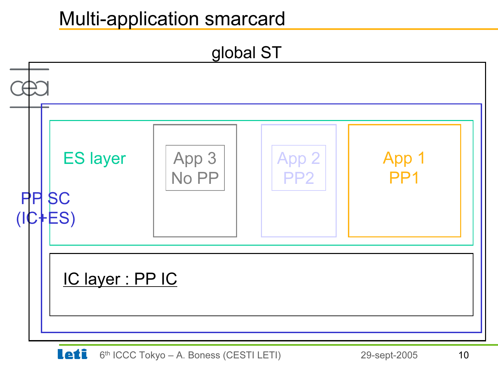#### Multi-application smarcard

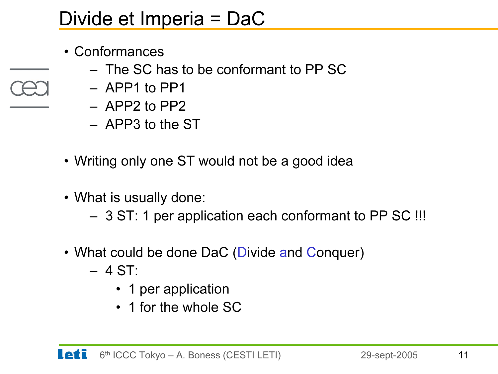#### Divide et Imperia = DaC

- Conformances
	- The SC has to be conformant to PP SC
	- APP1 to PP1
	- APP2 to PP2
	- APP3 to the ST
- Writing only one ST would not be a good idea
- What is usually done:
	- 3 ST: 1 per application each conformant to PP SC !!!
- What could be done DaC (Divide and Conquer)
	- 4 ST:
		- 1 per application
		- 1 for the whole SC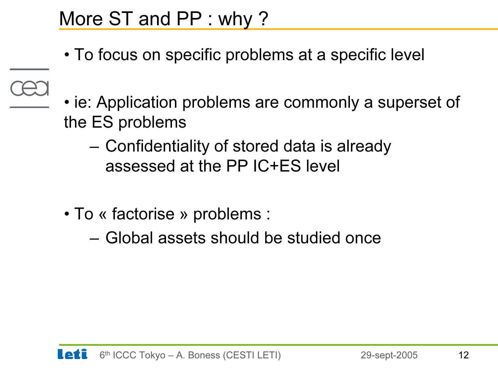#### More ST and PP : why ?

- To focus on specific problems at a specific level
- 
- ie: Application problems are commonly a superset of the ES problems
	- – Confidentiality of stored data is already assessed at the PP IC+ES level
- To « factorise » problems :
	- Global assets should be studied once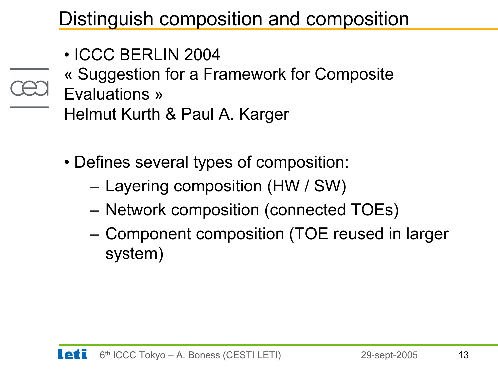## Distinguish composition and composition

- ICCC BERLIN 2004
- « Suggestion for a Framework for Composite
- Evaluations »
	- Helmut Kurth & Paul A. Karger
	- Defines several types of composition:
		- –Layering composition (HW / SW)
		- –Network composition (connected TOEs)
		- – Component composition (TOE reused in larger system)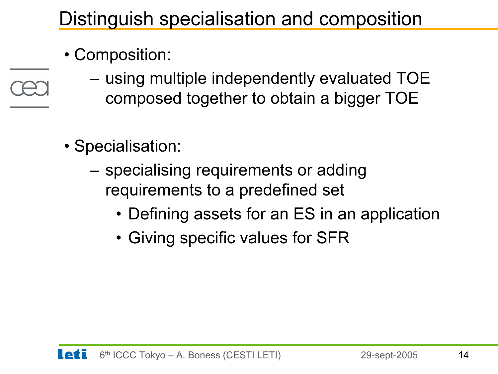# Distinguish specialisation and composition

- Composition:
	- – using multiple independently evaluated TOE composed together to obtain a bigger TOE
- Specialisation:
	- – specialising requirements or adding requirements to a predefined set
		- Defining assets for an ES in an application
		- Giving specific values for SFR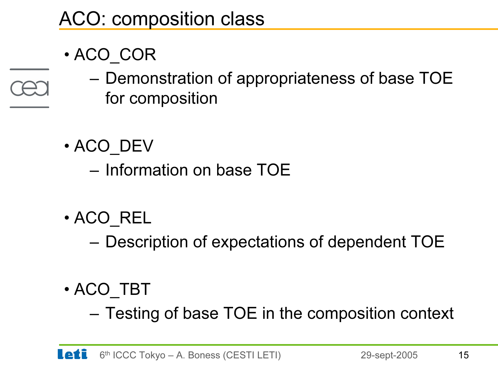# ACO: composition class

- ACO\_COR
	- – Demonstration of appropriateness of base TOE for composition
- ACO\_DEV
	- Information on base TOE
- ACO\_REL
	- –Description of expectations of dependent TOE
- ACO\_TBT
	- –Testing of base TOE in the composition context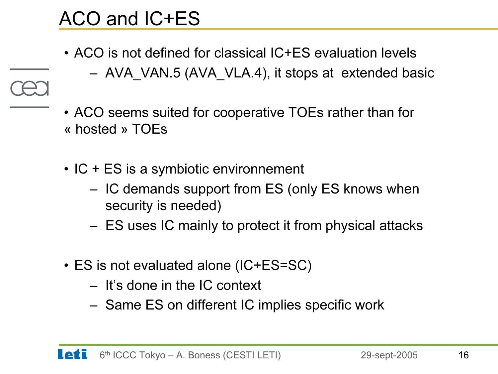# ACO and IC+ES

- ACO is not defined for classical IC+ES evaluation levels
	- AVA\_VAN.5 (AVA\_VLA.4), it stops at extended basic
- ACO seems suited for cooperative TOEs rather than for « hosted » TOEs
- IC + ES is a symbiotic environnement
	- IC demands support from ES (only ES knows when security is needed)
	- ES uses IC mainly to protect it from physical attacks
- ES is not evaluated alone (IC+ES=SC)
	- It's done in the IC context
	- Same ES on different IC implies specific work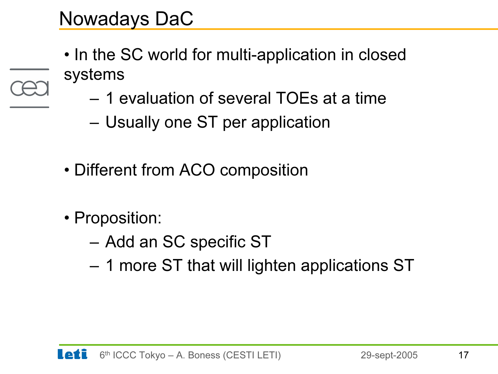- In the SC world for multi-application in closed systems
	- 1 evaluation of several TOEs at a time
	- –Usually one ST per application
- Different from ACO composition
- Proposition:
	- –Add an SC specific ST
	- –1 more ST that will lighten applications ST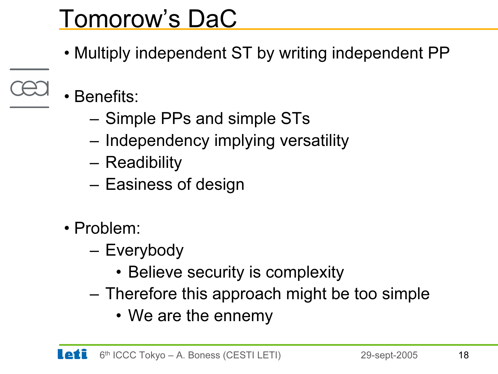# Tomorow's DaC

- Multiply independent ST by writing independent PP
- • Benefits:
	- –Simple PPs and simple STs
	- –Independency implying versatility
	- **Readibility**
	- –Easiness of design
	- Problem:
		- – Everybody
			- Believe security is complexity
		- Therefore this approach might be too simple
			- We are the ennemy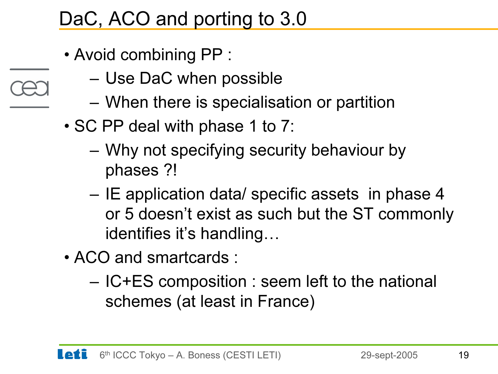## DaC, ACO and porting to 3.0

- Avoid combining PP :
	- –Use DaC when possible
	- –When there is specialisation or partition
- SC PP deal with phase 1 to 7:
	- – Why not specifying security behaviour by phases ?!
	- – IE application data/ specific assets in phase 4 or 5 doesn't exist as such but the ST commonly identifies it's handling…
- ACO and smartcards :
	- – IC+ES composition : seem left to the national schemes (at least in France)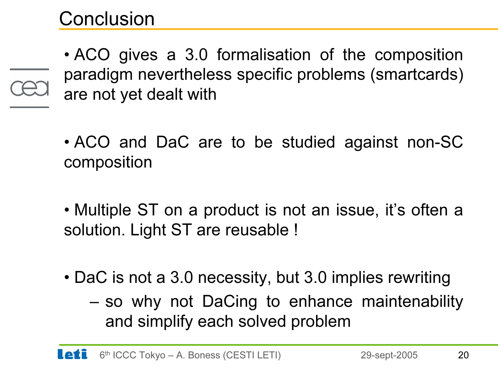#### **Conclusion**

• ACO gives a 3.0 formalisation of the composition paradigm nevertheless specific problems (smartcards) are not yet dealt with

- ACO and DaC are to be studied against non-SC composition
- Multiple ST on a product is not an issue, it's often a solution. Light ST are reusable !
- DaC is not a 3.0 necessity, but 3.0 implies rewriting
	- – so why not DaCing to enhance maintenability and simplify each solved problem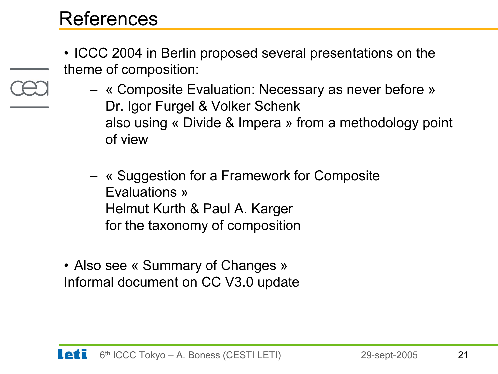#### References

- ICCC 2004 in Berlin proposed several presentations on the theme of composition:
	- « Composite Evaluation: Necessary as never before » Dr. Igor Furgel & Volker Schenk also using « Divide & Impera » from a methodology point of view
	- « Suggestion for a Framework for Composite Evaluations »Helmut Kurth & Paul A. Karger for the taxonomy of composition
- Also see « Summary of Changes » Informal document on CC V3.0 update